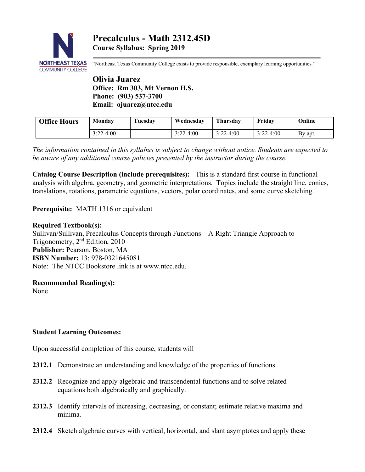

"Northeast Texas Community College exists to provide responsible, exemplary learning opportunities."

**Olivia Juarez Office: Rm 303, Mt Vernon H.S. Phone: (903) 537-3700 Email: ojuarez@ntcc.edu**

| <b>Office Hours</b> | Monday      | Tuesday | Wednesdav   | Thursdav    | Fridav      | Online  |
|---------------------|-------------|---------|-------------|-------------|-------------|---------|
|                     | $3:22-4:00$ |         | $3:22-4:00$ | $3:22-4:00$ | $3:22-4:00$ | By apt. |

*The information contained in this syllabus is subject to change without notice. Students are expected to be aware of any additional course policies presented by the instructor during the course.*

**Catalog Course Description (include prerequisites):** This is a standard first course in functional analysis with algebra, geometry, and geometric interpretations. Topics include the straight line, conics, translations, rotations, parametric equations, vectors, polar coordinates, and some curve sketching.

**Prerequisite:** MATH 1316 or equivalent

### **Required Textbook(s):**

Sullivan/Sullivan, Precalculus Concepts through Functions – A Right Triangle Approach to Trigonometry, 2nd Edition, 2010 **Publisher:** Pearson, Boston, MA **ISBN Number:** 13: 978-0321645081 Note: The NTCC Bookstore link is at www.ntcc.edu.

### **Recommended Reading(s):**

None

### **Student Learning Outcomes:**

Upon successful completion of this course, students will

- **2312.1** Demonstrate an understanding and knowledge of the properties of functions.
- **2312.2** Recognize and apply algebraic and transcendental functions and to solve related equations both algebraically and graphically.
- **2312.3** Identify intervals of increasing, decreasing, or constant; estimate relative maxima and minima.
- **2312.4** Sketch algebraic curves with vertical, horizontal, and slant asymptotes and apply these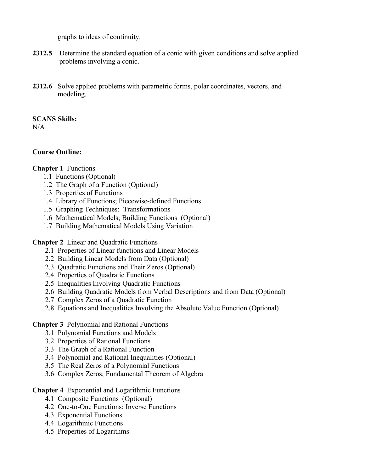graphs to ideas of continuity.

- **2312.5** Determine the standard equation of a conic with given conditions and solve applied problems involving a conic.
- **2312.6** Solve applied problems with parametric forms, polar coordinates, vectors, and modeling.

**SCANS Skills:**

N/A

### **Course Outline:**

## **Chapter 1** Functions

- 1.1 Functions (Optional)
- 1.2 The Graph of a Function (Optional)
- 1.3 Properties of Functions
- 1.4 Library of Functions; Piecewise-defined Functions
- 1.5 Graphing Techniques: Transformations
- 1.6 Mathematical Models; Building Functions (Optional)
- 1.7 Building Mathematical Models Using Variation

**Chapter 2** Linear and Quadratic Functions

- 2.1 Properties of Linear functions and Linear Models
- 2.2 Building Linear Models from Data (Optional)
- 2.3 Quadratic Functions and Their Zeros (Optional)
- 2.4 Properties of Quadratic Functions
- 2.5 Inequalities Involving Quadratic Functions
- 2.6 Building Quadratic Models from Verbal Descriptions and from Data (Optional)
- 2.7 Complex Zeros of a Quadratic Function
- 2.8 Equations and Inequalities Involving the Absolute Value Function (Optional)

# **Chapter 3** Polynomial and Rational Functions

- 3.1 Polynomial Functions and Models
- 3.2 Properties of Rational Functions
- 3.3 The Graph of a Rational Function
- 3.4 Polynomial and Rational Inequalities (Optional)
- 3.5 The Real Zeros of a Polynomial Functions
- 3.6 Complex Zeros; Fundamental Theorem of Algebra

### **Chapter 4** Exponential and Logarithmic Functions

- 4.1 Composite Functions (Optional)
- 4.2 One-to-One Functions; Inverse Functions
- 4.3 Exponential Functions
- 4.4 Logarithmic Functions
- 4.5 Properties of Logarithms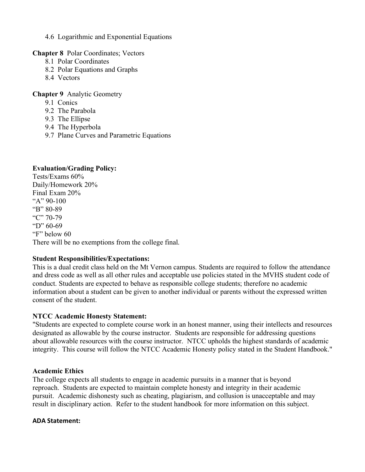4.6 Logarithmic and Exponential Equations

**Chapter 8** Polar Coordinates; Vectors

- 8.1 Polar Coordinates
- 8.2 Polar Equations and Graphs
- 8.4 Vectors

**Chapter 9** Analytic Geometry

- 9.1 Conics
- 9.2 The Parabola
- 9.3 The Ellipse
- 9.4 The Hyperbola
- 9.7 Plane Curves and Parametric Equations

## **Evaluation/Grading Policy:**

Tests/Exams 60% Daily/Homework 20% Final Exam 20% "A"  $90-100$ "B" 80-89 "C" 70-79 "D" 60-69 "F" below 60 There will be no exemptions from the college final.

### **Student Responsibilities/Expectations:**

This is a dual credit class held on the Mt Vernon campus. Students are required to follow the attendance and dress code as well as all other rules and acceptable use policies stated in the MVHS student code of conduct. Students are expected to behave as responsible college students; therefore no academic information about a student can be given to another individual or parents without the expressed written consent of the student.

### **NTCC Academic Honesty Statement:**

"Students are expected to complete course work in an honest manner, using their intellects and resources designated as allowable by the course instructor. Students are responsible for addressing questions about allowable resources with the course instructor. NTCC upholds the highest standards of academic integrity. This course will follow the NTCC Academic Honesty policy stated in the Student Handbook."

### **Academic Ethics**

The college expects all students to engage in academic pursuits in a manner that is beyond reproach. Students are expected to maintain complete honesty and integrity in their academic pursuit. Academic dishonesty such as cheating, plagiarism, and collusion is unacceptable and may result in disciplinary action. Refer to the student handbook for more information on this subject.

### **ADA Statement:**